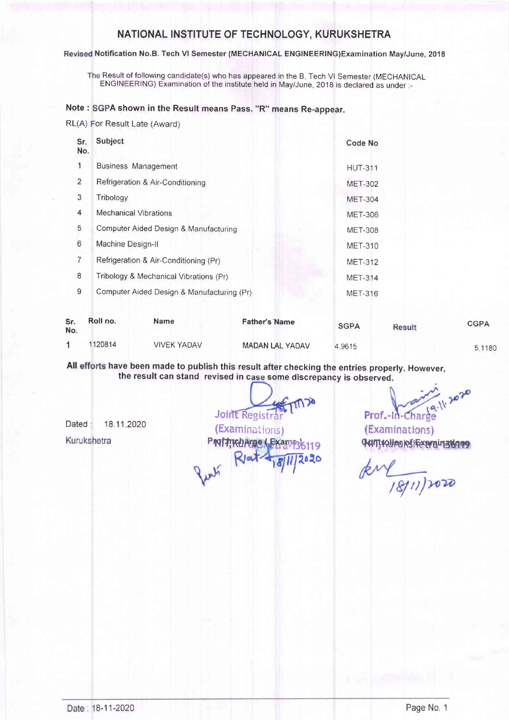## NATIONAL INSTITUTE OF TECHNOLOGY, KURUKSHETRA

#### Revised Notification No.B. Tech VI Semester (MECHANICAL ENGINEERING)Examination May/June, 2018

The Result of following candidate(s) who has appeared in the B. Tech VI Semester (MECHANICAL ENGINEERING) Examination of the institute held in May/June,2018 is declared as under:-

#### Note : SGPA shown in the Result means Pass. "R" means Re-appear.

RL(A) For Result Late (Award)

| Sr.<br>No. | Subject                                    | Code No        |
|------------|--------------------------------------------|----------------|
| 1          | <b>Business Management</b>                 | <b>HUT-311</b> |
| 2          | Refrigeration & Air-Conditioning           | <b>MET-302</b> |
| 3          | Tribology                                  | <b>MET-304</b> |
| 4          | Mechanical Vibrations                      | <b>MET-306</b> |
| 5          | Computer Aided Design & Manufacturing      | <b>MET-308</b> |
| 6          | Machine Design-II                          | <b>MET-310</b> |
| 7          | Refrigeration & Air-Conditioning (Pr)      | <b>MET-312</b> |
| 8          | Tribology & Mechanical Vibrations (Pr)     | <b>MET-314</b> |
| 9          | Computer Aided Design & Manufacturing (Pr) | <b>MET-316</b> |

| Sr.<br>No. | Roll no. | <b>Name</b>        | <b>Father's Name</b>   | <b>SGPA</b> | Result | <b>CGPA</b> |
|------------|----------|--------------------|------------------------|-------------|--------|-------------|
|            | 1120814  | <b>VIVEK YADAV</b> | <b>MADAN LAL YADAV</b> | 4.9615      |        | 5.1180      |

All efforts have been made to publish this result after checking the entries properly. However the result can stand revised in case some discrepancy is observed.

Dated 18.11.2020 Kurukshetra

Joint Registral (ExaminaLions) PNflikharge (Exame Riat  $|||262c$ 

11.2020 Prof.-In-Charge

(Examinations) GAIT! KALLEN RESTREAMENT TO GAIN THE

acoc(11/81)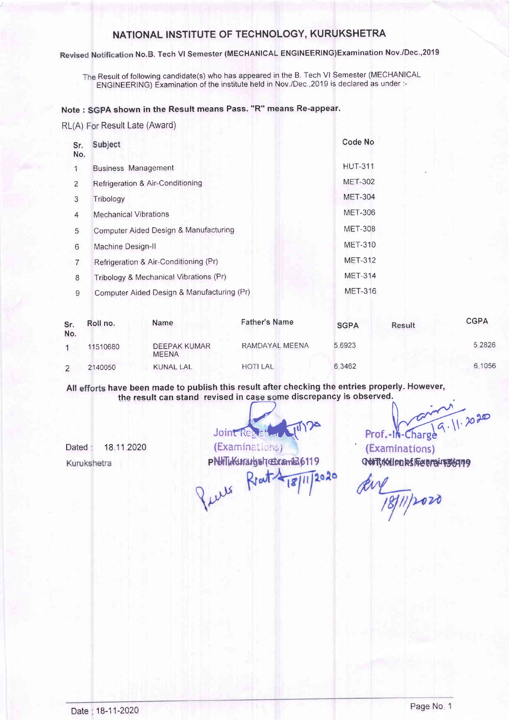## NATIONAL INSTITUTE OF TECHNOLOGY, KURUKSHETRA

Revised Notification No.B. Tech VI Semester (MECHANICAL ENGINEERING)Examination Nov./Dec.,2019

The Result of following candidate(s) who has appeared in the B. Tech VI Semester (MECHANICAL ENGINEERING) Examination of the institute held in Nov./Dec.,2019 is declared as under:-

### Note : SGPA shown in the Result means Pass. "R" means Re-appear

RL(A) For Result Late (Award)

| Sr.<br>No.     | Subject                                    | Code No        |
|----------------|--------------------------------------------|----------------|
|                | <b>Business Management</b>                 | <b>HUT-311</b> |
| $\overline{2}$ | Refrigeration & Air-Conditioning           | <b>MET-302</b> |
| 3              | Tribology                                  | <b>MET-304</b> |
| 4              | <b>Mechanical Vibrations</b>               | <b>MET-306</b> |
| 5              | Computer Aided Design & Manufacturing      | <b>MET-308</b> |
| 6              | Machine Design-II                          | <b>MET-310</b> |
| 7              | Refrigeration & Air-Conditioning (Pr)      | <b>MET-312</b> |
| 8              | Tribology & Mechanical Vibrations (Pr)     | <b>MET-314</b> |
| 9              | Computer Aided Design & Manufacturing (Pr) | <b>MET-316</b> |

| Sr.<br>No. | Roll no. | <b>Name</b>                         | <b>Father's Name</b> | <b>SGPA</b> | Result | <b>CGPA</b> |
|------------|----------|-------------------------------------|----------------------|-------------|--------|-------------|
|            | 11510680 | <b>DEEPAK KUMAR</b><br><b>MEENA</b> | RAMDAYAL MEENA       | 5.6923      |        | 5.2826      |
|            | 2140050  | KUNAL LAL                           | <b>HOTI LAL</b>      | 6.3462      |        | 6.1056      |

All efforts have been made to publish this result after checking the entries properly. However have been made to publish this result after checking the entries properly. However,<br>the result can stand revised in case some discrepancy is observed.<br>Joint Resistant (M) 22<br>Prof.-In-Charge (Examinations) (Examinations) the result can stand revised in case some discrepancy is observed.

Dated: Kurukshetra

pNHTLKUrarbotarda F 19 contractions en experience R l'aut Rent-Puls

 $1811110000$